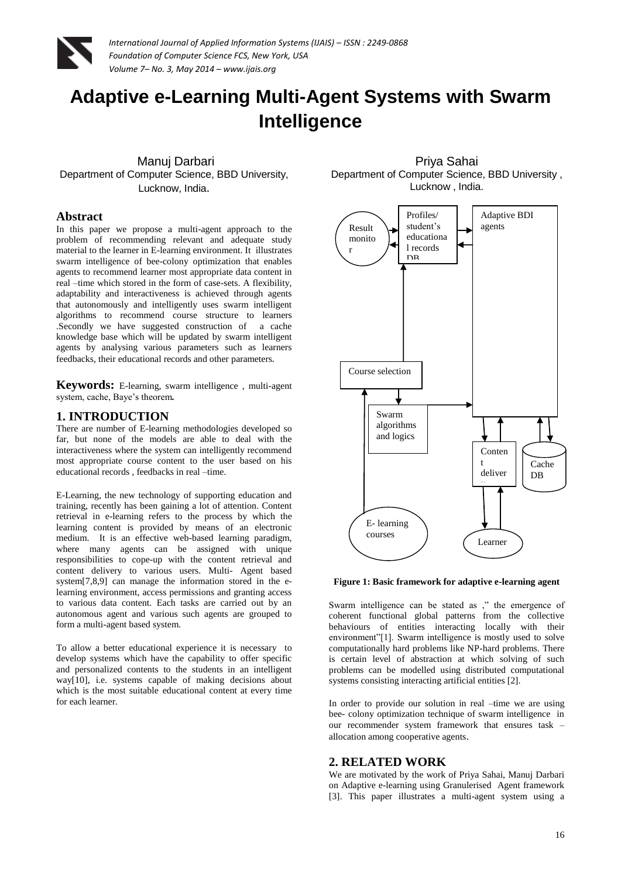

# **Adaptive e-Learning Multi-Agent Systems with Swarm Intelligence**

Manuj Darbari Department of Computer Science, BBD University, Lucknow, India.

#### **Abstract**

In this paper we propose a multi-agent approach to the problem of recommending relevant and adequate study material to the learner in E-learning environment. It illustrates swarm intelligence of bee-colony optimization that enables agents to recommend learner most appropriate data content in real –time which stored in the form of case-sets. A flexibility, adaptability and interactiveness is achieved through agents that autonomously and intelligently uses swarm intelligent algorithms to recommend course structure to learners .Secondly we have suggested construction of a cache knowledge base which will be updated by swarm intelligent agents by analysing various parameters such as learners feedbacks, their educational records and other parameters*.*

**Keywords:** E-learning, swarm intelligence , multi-agent system, cache, Baye's theorem*.*

## **1. INTRODUCTION**

There are number of E-learning methodologies developed so far, but none of the models are able to deal with the interactiveness where the system can intelligently recommend most appropriate course content to the user based on his educational records , feedbacks in real –time.

E-Learning, the new technology of supporting education and training, recently has been gaining a lot of attention. Content retrieval in e-learning refers to the process by which the learning content is provided by means of an electronic medium. It is an effective web-based learning paradigm, where many agents can be assigned with unique responsibilities to cope-up with the content retrieval and content delivery to various users. Multi- Agent based system[7,8,9] can manage the information stored in the elearning environment, access permissions and granting access to various data content. Each tasks are carried out by an autonomous agent and various such agents are grouped to form a multi-agent based system.

To allow a better educational experience it is necessary to develop systems which have the capability to offer specific and personalized contents to the students in an intelligent way[10], i.e. systems capable of making decisions about which is the most suitable educational content at every time for each learner.

Priya Sahai Department of Computer Science, BBD University , Lucknow , India.



#### **Figure 1: Basic framework for adaptive e-learning agent**

Swarm intelligence can be stated as ," the emergence of coherent functional global patterns from the collective behaviours of entities interacting locally with their environment"[1]. Swarm intelligence is mostly used to solve computationally hard problems like NP-hard problems. There is certain level of abstraction at which solving of such problems can be modelled using distributed computational systems consisting interacting artificial entities [2].

In order to provide our solution in real –time we are using bee- colony optimization technique of swarm intelligence in our recommender system framework that ensures task – allocation among cooperative agents.

## **2. RELATED WORK**

We are motivated by the work of Priya Sahai, Manuj Darbari on Adaptive e-learning using Granulerised Agent framework [3]. This paper illustrates a multi-agent system using a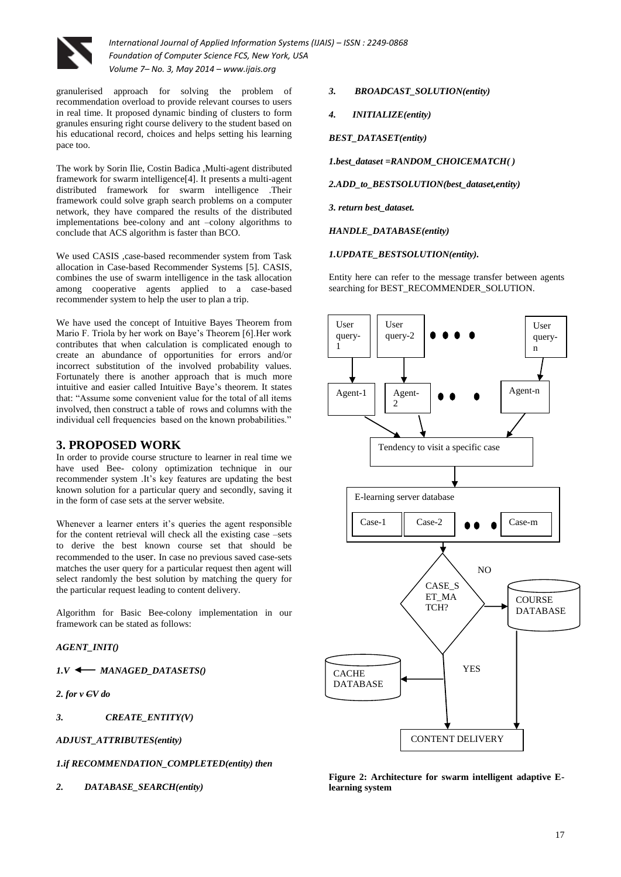

granulerised approach for solving the problem of recommendation overload to provide relevant courses to users in real time. It proposed dynamic binding of clusters to form granules ensuring right course delivery to the student based on his educational record, choices and helps setting his learning pace too.

The work by Sorin Ilie, Costin Badica ,Multi-agent distributed framework for swarm intelligence[4]. It presents a multi-agent distributed framework for swarm intelligence .Their framework could solve graph search problems on a computer network, they have compared the results of the distributed implementations bee-colony and ant –colony algorithms to conclude that ACS algorithm is faster than BCO.

We used CASIS ,case-based recommender system from Task allocation in Case-based Recommender Systems [5]. CASIS, combines the use of swarm intelligence in the task allocation among cooperative agents applied to a case-based recommender system to help the user to plan a trip.

We have used the concept of Intuitive Bayes Theorem from Mario F. Triola by her work on Baye's Theorem [6].Her work contributes that when calculation is complicated enough to create an abundance of opportunities for errors and/or incorrect substitution of the involved probability values. Fortunately there is another approach that is much more intuitive and easier called Intuitive Baye's theorem. It states that: "Assume some convenient value for the total of all items involved, then construct a table of rows and columns with the individual cell frequencies based on the known probabilities."

# **3. PROPOSED WORK**

In order to provide course structure to learner in real time we have used Bee- colony optimization technique in our recommender system .It's key features are updating the best known solution for a particular query and secondly, saving it in the form of case sets at the server website.

Whenever a learner enters it's queries the agent responsible for the content retrieval will check all the existing case –sets to derive the best known course set that should be recommended to the user. In case no previous saved case-sets matches the user query for a particular request then agent will select randomly the best solution by matching the query for the particular request leading to content delivery.

Algorithm for Basic Bee-colony implementation in our framework can be stated as follows:

## *AGENT\_INIT()*

*1.V MANAGED\_DATASETS()*

*2. for v CV do*

*3. CREATE\_ENTITY(V)*

*ADJUST\_ATTRIBUTES(entity)*

*1.if RECOMMENDATION\_COMPLETED(entity) then* 

*2. DATABASE\_SEARCH(entity)*

#### *3. BROADCAST\_SOLUTION(entity)*

*4. INITIALIZE(entity)*

#### *BEST\_DATASET(entity)*

*1.best\_dataset =RANDOM\_CHOICEMATCH( )*

*2.ADD\_to\_BESTSOLUTION(best\_dataset,entity)*

*3. return best\_dataset.*

*HANDLE\_DATABASE(entity)*

*1.UPDATE\_BESTSOLUTION(entity).*

Entity here can refer to the message transfer between agents searching for BEST\_RECOMMENDER\_SOLUTION.



**Figure 2: Architecture for swarm intelligent adaptive Elearning system**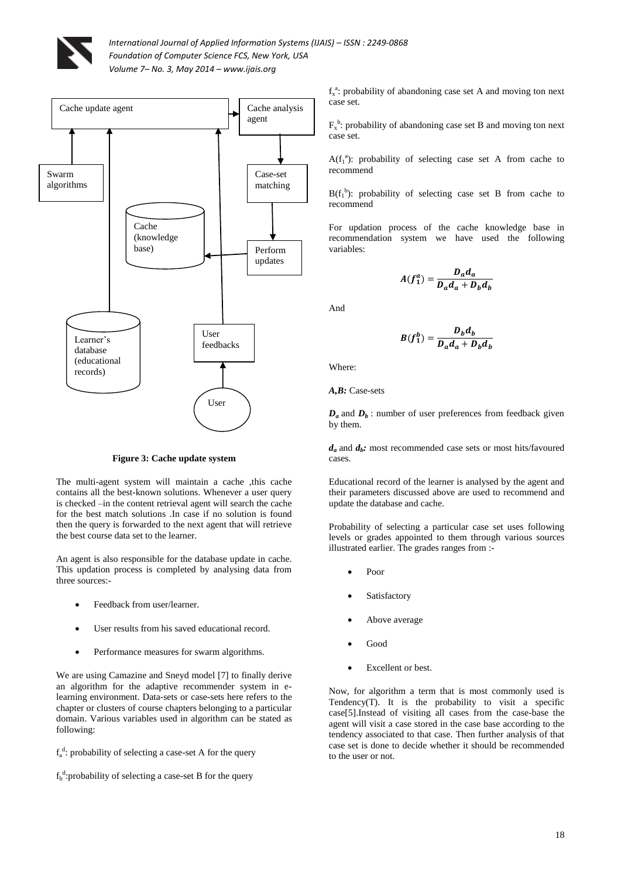



**Figure 3: Cache update system**

The multi-agent system will maintain a cache ,this cache contains all the best-known solutions. Whenever a user query is checked –in the content retrieval agent will search the cache for the best match solutions .In case if no solution is found then the query is forwarded to the next agent that will retrieve the best course data set to the learner.

An agent is also responsible for the database update in cache. This updation process is completed by analysing data from three sources:-

- Feedback from user/learner.
- User results from his saved educational record.
- Performance measures for swarm algorithms.

We are using Camazine and Sneyd model [7] to finally derive an algorithm for the adaptive recommender system in elearning environment. Data-sets or case-sets here refers to the chapter or clusters of course chapters belonging to a particular domain. Various variables used in algorithm can be stated as following:

 $f_a^d$ : probability of selecting a case-set A for the query

 $f_b^d$ :probability of selecting a case-set B for the query

f<sub>x</sub><sup>a</sup>: probability of abandoning case set A and moving ton next case set.

 $F_x^b$ : probability of abandoning case set B and moving ton next case set.

 $A(f_1^a)$ : probability of selecting case set A from cache to recommend

 $B(f_1^b)$ : probability of selecting case set B from cache to recommend

For updation process of the cache knowledge base in recommendation system we have used the following variables:

$$
A(f_1^a) = \frac{D_a d_a}{D_a d_a + D_b d_b}
$$

And

$$
B(f_1^b) = \frac{D_b d_b}{D_a d_a + D_b d_b}
$$

Where:

*A,B:* Case-sets

 $D_a$  and  $D_b$ : number of user preferences from feedback given by them.

*da* and *d<sup>b</sup> :* most recommended case sets or most hits/favoured cases.

Educational record of the learner is analysed by the agent and their parameters discussed above are used to recommend and update the database and cache.

Probability of selecting a particular case set uses following levels or grades appointed to them through various sources illustrated earlier. The grades ranges from :-

- Poor
- Satisfactory
- Above average
- Good
- Excellent or best.

Now, for algorithm a term that is most commonly used is Tendency(T). It is the probability to visit a specific case[5].Instead of visiting all cases from the case-base the agent will visit a case stored in the case base according to the tendency associated to that case. Then further analysis of that case set is done to decide whether it should be recommended to the user or not.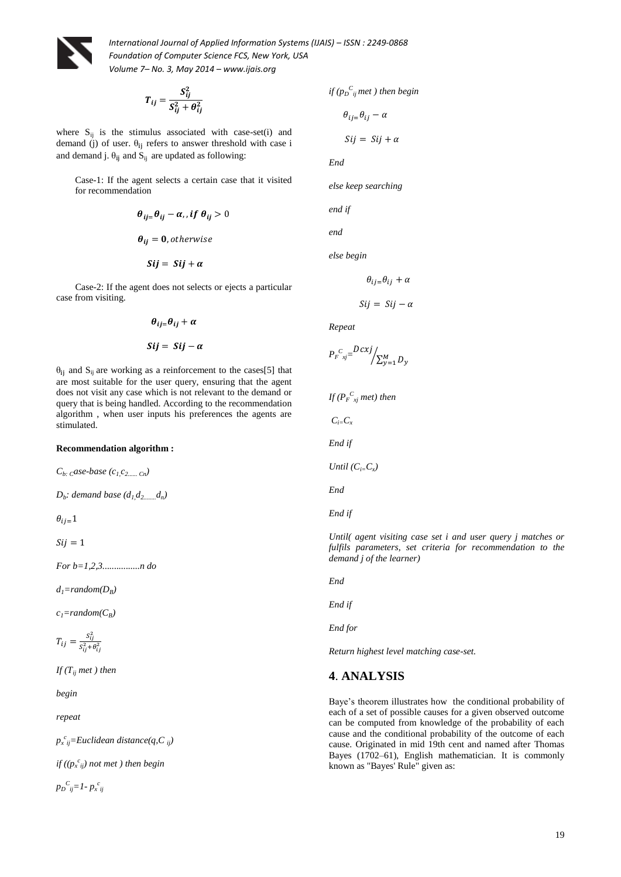

$$
T_{ij} = \frac{S_{ij}^2}{S_{ij}^2 + \theta_{ij}^2}
$$

where  $S_{ii}$  is the stimulus associated with case-set(i) and demand (j) of user.  $\theta_{ij}$  refers to answer threshold with case i and demand j.  $\theta_{ij}$  and  $S_{ij}$  are updated as following:

Case-1: If the agent selects a certain case that it visited for recommendation

$$
\theta_{ij} = \theta_{ij} - \alpha, \text{ if } \theta_{ij} > 0
$$

$$
\theta_{ij} = 0, \text{ otherwise}
$$

$$
Sij = Sij + \alpha
$$

 Case-2: If the agent does not selects or ejects a particular case from visiting.

$$
\theta_{ij} = \theta_{ij} + \alpha
$$
  

$$
Sij = Sij - \alpha
$$

 $\theta_{ij}$  and  $S_{ij}$  are working as a reinforcement to the cases[5] that are most suitable for the user query, ensuring that the agent does not visit any case which is not relevant to the demand or query that is being handled. According to the recommendation algorithm , when user inputs his preferences the agents are stimulated.

#### **Recommendation algorithm :**

 $C_b$ : *case-base* ( $C_1$ , $C_2$ ...... *Cn*)

*Db : demand base (d1,d2........d<sup>n</sup> )*

$$
\theta_{ij=1}
$$

 $Si*i* = 1$ 

*For b=1,2,3................n do*

 $d_1$ =random( $D_B$ )

 $c_1$ =random( $C_B$ )

$$
T_{ij}=\tfrac{S_{ij}^2}{S_{ij}^2+\theta_{ij}^2}
$$

 $If$  $(T_{ii}$ *met*  $)$  *then* 

*begin*

*repeat*

*px c ij=Euclidean distance(q,C ij)*

*if ((p<sup>x</sup> c ij) not met ) then begin*

$$
p_D{}^C{}_{ij} = I - p_x{}^c{}_{ij}
$$

if 
$$
(p_D^C_{ij})
$$
 met) then begin

$$
\theta_{ij} = \theta_{ij} - \alpha
$$

$$
Sij = Sij + \alpha
$$

*End*

*else keep searching*

*end if*

*end*

*else begin*

$$
\theta_{ij} = \theta_{ij} + \alpha
$$

$$
Sij = Sij - \alpha
$$

*Repeat*

$$
P_F^{\ c}{}_{xj} = \frac{Dcxj}{\sum_{y=1}^M D_y}
$$

*If (P<sup>F</sup> C xj met) then*

 $C_i$ <sub> $=$ </sub> $C_i$ 

*End if*

*Until*  $(C_i=C_x)$ 

*End*

*End if*

*Until( agent visiting case set i and user query j matches or fulfils parameters, set criteria for recommendation to the demand j of the learner)*

*End*

*End if*

*End for*

*Return highest level matching case-set.*

# **4**. **ANALYSIS**

Baye's theorem illustrates how the conditional probability of each of a set of possible causes for a given observed outcome can be computed from knowledge of the probability of each cause and the conditional probability of the outcome of each cause. Originated in mid 19th cent and named after Thomas Bayes (1702–61), English mathematician. It is commonly known as "Bayes' Rule" given as: